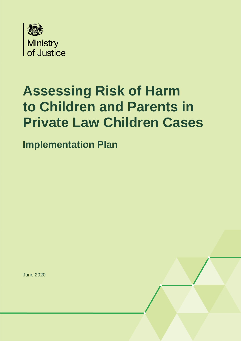

# **Assessing Risk of Harm to Children and Parents in Private Law Children Cases**

**Implementation Plan**

June 2020

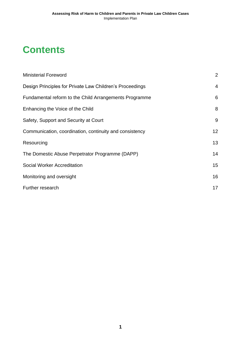### **Contents**

| <b>Ministerial Foreword</b>                              | $\overline{2}$ |
|----------------------------------------------------------|----------------|
| Design Principles for Private Law Children's Proceedings | $\overline{4}$ |
| Fundamental reform to the Child Arrangements Programme   | 6              |
| Enhancing the Voice of the Child                         | 8              |
| Safety, Support and Security at Court                    | 9              |
| Communication, coordination, continuity and consistency  | 12             |
| Resourcing                                               | 13             |
| The Domestic Abuse Perpetrator Programme (DAPP)          | 14             |
| Social Worker Accreditation                              | 15             |
| Monitoring and oversight                                 | 16             |
| Further research                                         | 17             |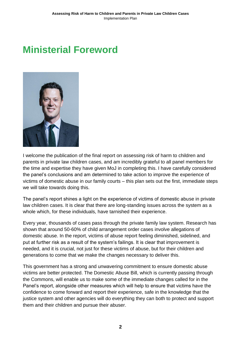### <span id="page-2-0"></span>**Ministerial Foreword**



I welcome the publication of the final report on assessing risk of harm to children and parents in private law children cases, and am incredibly grateful to all panel members for the time and expertise they have given MoJ in completing this. I have carefully considered the panel's conclusions and am determined to take action to improve the experience of victims of domestic abuse in our family courts – this plan sets out the first, immediate steps we will take towards doing this.

The panel's report shines a light on the experience of victims of domestic abuse in private law children cases. It is clear that there are long-standing issues across the system as a whole which, for these individuals, have tarnished their experience.

Every year, thousands of cases pass through the private family law system. Research has shown that around 50-60% of child arrangement order cases involve allegations of domestic abuse. In the report, victims of abuse report feeling diminished, sidelined, and put at further risk as a result of the system's failings. It is clear that improvement is needed, and it is crucial, not just for these victims of abuse, but for their children and generations to come that we make the changes necessary to deliver this.

This government has a strong and unwavering commitment to ensure domestic abuse victims are better protected. The Domestic Abuse Bill, which is currently passing through the Commons, will enable us to make some of the immediate changes called for in the Panel's report, alongside other measures which will help to ensure that victims have the confidence to come forward and report their experience, safe in the knowledge that the justice system and other agencies will do everything they can both to protect and support them and their children and pursue their abuser.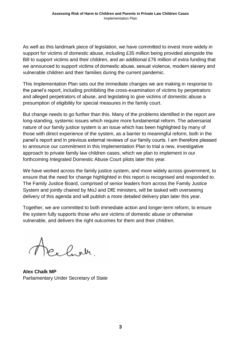As well as this landmark piece of legislation, we have committed to invest more widely in support for victims of domestic abuse, including £35 million being provided alongside the Bill to support victims and their children, and an additional £76 million of extra funding that we announced to support victims of domestic abuse, sexual violence, modern slavery and vulnerable children and their families during the current pandemic.

This Implementation Plan sets out the immediate changes we are making in response to the panel's report, including prohibiting the cross-examination of victims by perpetrators and alleged perpetrators of abuse, and legislating to give victims of domestic abuse a presumption of eligibility for special measures in the family court.

But change needs to go further than this. Many of the problems identified in the report are long-standing, systemic issues which require more fundamental reform. The adversarial nature of our family justice system is an issue which has been highlighted by many of those with direct experience of the system, as a barrier to meaningful reform, both in the panel's report and in previous external reviews of our family courts. I am therefore pleased to announce our commitment in this Implementation Plan to trial a new, investigative approach to private family law children cases, which we plan to implement in our forthcoming Integrated Domestic Abuse Court pilots later this year.

We have worked across the family justice system, and more widely across government, to ensure that the need for change highlighted in this report is recognised and responded to. The Family Justice Board, comprised of senior leaders from across the Family Justice System and jointly chaired by MoJ and DfE ministers, will be tasked with overseeing delivery of this agenda and will publish a more detailed delivery plan later this year.

Together, we are committed to both immediate action and longer-term reform, to ensure the system fully supports those who are victims of domestic abuse or otherwise vulnerable, and delivers the right outcomes for them and their children.

Acelark.

**Alex Chalk MP** Parliamentary Under Secretary of State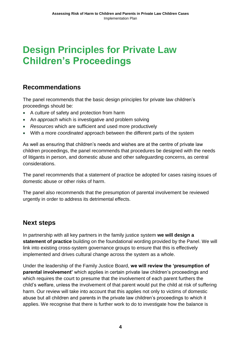### <span id="page-4-0"></span>**Design Principles for Private Law Children's Proceedings**

### **Recommendations**

The panel recommends that the basic design principles for private law children's proceedings should be:

- A *culture* of safety and protection from harm
- An *approach* which is investigative and problem solving
- *Resources* which are sufficient and used more productively
- With a more *coordinated* approach between the different parts of the system

As well as ensuring that children's needs and wishes are at the centre of private law children proceedings, the panel recommends that procedures be designed with the needs of litigants in person, and domestic abuse and other safeguarding concerns, as central considerations.

The panel recommends that a statement of practice be adopted for cases raising issues of domestic abuse or other risks of harm.

The panel also recommends that the presumption of parental involvement be reviewed urgently in order to address its detrimental effects.

### **Next steps**

In partnership with all key partners in the family justice system **we will design a statement of practice** building on the foundational wording provided by the Panel. We will link into existing cross-system governance groups to ensure that this is effectively implemented and drives cultural change across the system as a whole.

Under the leadership of the Family Justice Board, **we will review the 'presumption of parental involvement'** which applies in certain private law children's proceedings and which requires the court to presume that the involvement of each parent furthers the child's welfare, unless the involvement of that parent would put the child at risk of suffering harm. Our review will take into account that this applies not only to victims of domestic abuse but all children and parents in the private law children's proceedings to which it applies. We recognise that there is further work to do to investigate how the balance is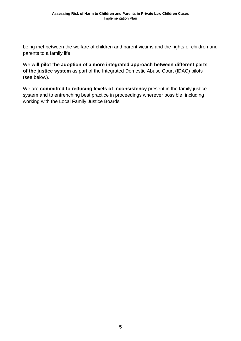being met between the welfare of children and parent victims and the rights of children and parents to a family life.

We **will pilot the adoption of a more integrated approach between different parts of the justice system** as part of the Integrated Domestic Abuse Court (IDAC) pilots (see below).

We are **committed to reducing levels of inconsistency** present in the family justice system and to entrenching best practice in proceedings wherever possible, including working with the Local Family Justice Boards.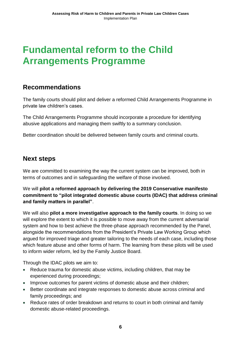### <span id="page-6-0"></span>**Fundamental reform to the Child Arrangements Programme**

### **Recommendations**

The family courts should pilot and deliver a reformed Child Arrangements Programme in private law children's cases.

The Child Arrangements Programme should incorporate a procedure for identifying abusive applications and managing them swiftly to a summary conclusion.

Better coordination should be delivered between family courts and criminal courts.

#### **Next steps**

We are committed to examining the way the current system can be improved, both in terms of outcomes and in safeguarding the welfare of those involved.

We will **pilot a reformed approach by delivering the 2019 Conservative manifesto commitment to "pilot integrated domestic abuse courts (IDAC) that address criminal and family matters in parallel"**.

We will also **pilot a more investigative approach to the family courts**. In doing so we will explore the extent to which it is possible to move away from the current adversarial system and how to best achieve the three-phase approach recommended by the Panel, alongside the recommendations from the President's Private Law Working Group which argued for improved triage and greater tailoring to the needs of each case, including those which feature abuse and other forms of harm. The learning from these pilots will be used to inform wider reform, led by the Family Justice Board.

Through the IDAC pilots we aim to:

- Reduce trauma for domestic abuse victims, including children, that may be experienced during proceedings;
- Improve outcomes for parent victims of domestic abuse and their children;
- Better coordinate and integrate responses to domestic abuse across criminal and family proceedings; and
- Reduce rates of order breakdown and returns to court in both criminal and family domestic abuse-related proceedings.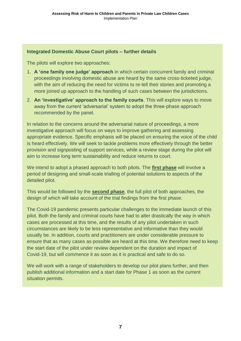#### **Integrated Domestic Abuse Court pilots – further details**

The pilots will explore two approaches:

- 1. **A 'one family one judge' approach** in which certain concurrent family and criminal proceedings involving domestic abuse are heard by the same cross-ticketed judge, with the aim of reducing the need for victims to re-tell their stories and promoting a more joined up approach to the handling of such cases between the jurisdictions.
- 2. **An 'investigative' approach to the family courts**. This will explore ways to move away from the current 'adversarial' system to adopt the three-phase approach recommended by the panel.

In relation to the concerns around the adversarial nature of proceedings, a more investigative approach will focus on ways to improve gathering and assessing appropriate evidence. Specific emphasis will be placed on ensuring the voice of the child is heard effectively. We will seek to tackle problems more effectively through the better provision and signposting of support services, while a review stage during the pilot will aim to increase long term sustainability and reduce returns to court.

We intend to adopt a phased approach to both pilots. The **first phase** will involve a period of designing and small-scale trialling of potential solutions to aspects of the detailed pilot.

This would be followed by the **second phase**, the full pilot of both approaches, the design of which will take account of the trial findings from the first phase.

The Covid-19 pandemic presents particular challenges to the immediate launch of this pilot. Both the family and criminal courts have had to alter drastically the way in which cases are processed at this time, and the results of any pilot undertaken in such circumstances are likely to be less representative and informative than they would usually be. In addition, courts and practitioners are under considerable pressure to ensure that as many cases as possible are heard at this time. We therefore need to keep the start date of the pilot under review dependent on the duration and impact of Covid-19, but will commence it as soon as it is practical and safe to do so.

We will work with a range of stakeholders to develop our pilot plans further, and then publish additional information and a start date for Phase 1 as soon as the current situation permits.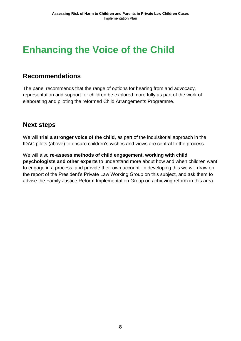### <span id="page-8-0"></span>**Enhancing the Voice of the Child**

#### **Recommendations**

The panel recommends that the range of options for hearing from and advocacy, representation and support for children be explored more fully as part of the work of elaborating and piloting the reformed Child Arrangements Programme.

#### **Next steps**

We will **trial a stronger voice of the child**, as part of the inquisitorial approach in the IDAC pilots (above) to ensure children's wishes and views are central to the process.

We will also **re-assess methods of child engagement, working with child psychologists and other experts** to understand more about how and when children want to engage in a process, and provide their own account. In developing this we will draw on the report of the President's Private Law Working Group on this subject, and ask them to advise the Family Justice Reform Implementation Group on achieving reform in this area.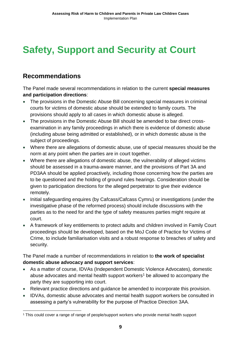# <span id="page-9-0"></span>**Safety, Support and Security at Court**

### **Recommendations**

The Panel made several recommendations in relation to the current **special measures and participation directions**:

- The provisions in the Domestic Abuse Bill concerning special measures in criminal courts for victims of domestic abuse should be extended to family courts. The provisions should apply to all cases in which domestic abuse is alleged.
- The provisions in the Domestic Abuse Bill should be amended to bar direct crossexamination in any family proceedings in which there is evidence of domestic abuse (including abuse being admitted or established), or in which domestic abuse is the subject of proceedings.
- Where there are allegations of domestic abuse, use of special measures should be the norm at any point when the parties are in court together.
- Where there are allegations of domestic abuse, the vulnerability of alleged victims should be assessed in a trauma-aware manner, and the provisions of Part 3A and PD3AA should be applied proactively, including those concerning how the parties are to be questioned and the holding of ground rules hearings. Consideration should be given to participation directions for the alleged perpetrator to give their evidence remotely.
- Initial safeguarding enquires (by Cafcass/Cafcass Cymru) or investigations (under the investigative phase of the reformed process) should include discussions with the parties as to the need for and the type of safety measures parties might require at court.
- A framework of key entitlements to protect adults and children involved in Family Court proceedings should be developed, based on the MoJ Code of Practice for Victims of Crime, to include familiarisation visits and a robust response to breaches of safety and security.

The Panel made a number of recommendations in relation to **the work of specialist domestic abuse advocacy and support services**:

- As a matter of course, IDVAs (Independent Domestic Violence Advocates), domestic abuse advocates and mental health support workers<sup>1</sup> be allowed to accompany the party they are supporting into court.
- Relevant practice directions and guidance be amended to incorporate this provision.
- IDVAs, domestic abuse advocates and mental health support workers be consulted in assessing a party's vulnerability for the purpose of Practice Direction 3AA.

<sup>-</sup><sup>1</sup> This could cover a range of range of people/support workers who provide mental health support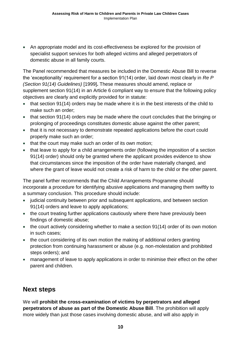• An appropriate model and its cost-effectiveness be explored for the provision of specialist support services for both alleged victims and alleged perpetrators of domestic abuse in all family courts.

The Panel recommended that measures be included in the Domestic Abuse Bill to reverse the 'exceptionality' requirement for a section 91(14) order, laid down most clearly in *Re P (Section 91(14) Guidelines)* [1999]**.** These measures should amend, replace or supplement section 91(14) in an Article 6 compliant way to ensure that the following policy objectives are clearly and explicitly provided for in statute:

- that section 91(14) orders may be made where it is in the best interests of the child to make such an order;
- that section 91(14) orders may be made where the court concludes that the bringing or prolonging of proceedings constitutes domestic abuse against the other parent;
- that it is not necessary to demonstrate repeated applications before the court could properly make such an order;
- that the court may make such an order of its own motion;
- that leave to apply for a child arrangements order (following the imposition of a section 91(14) order) should only be granted where the applicant provides evidence to show that circumstances since the imposition of the order have materially changed, and where the grant of leave would not create a risk of harm to the child or the other parent.

The panel further recommends that the Child Arrangements Programme should incorporate a procedure for identifying abusive applications and managing them swiftly to a summary conclusion. This procedure should include:

- judicial continuity between prior and subsequent applications, and between section 91(14) orders and leave to apply applications;
- the court treating further applications cautiously where there have previously been findings of domestic abuse;
- the court actively considering whether to make a section 91(14) order of its own motion in such cases;
- the court considering of its own motion the making of additional orders granting protection from continuing harassment or abuse (e.g. non-molestation and prohibited steps orders); and
- management of leave to apply applications in order to minimise their effect on the other parent and children.

### **Next steps**

We will **prohibit the cross-examination of victims by perpetrators and alleged perpetrators of abuse as part of the Domestic Abuse Bill**. The prohibition will apply more widely than just those cases involving domestic abuse, and will also apply in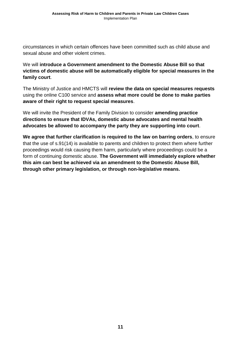circumstances in which certain offences have been committed such as child abuse and sexual abuse and other violent crimes.

We will **introduce a Government amendment to the Domestic Abuse Bill so that victims of domestic abuse will be automatically eligible for special measures in the family court**.

The Ministry of Justice and HMCTS will **review the data on special measures requests** using the online C100 service and **assess what more could be done to make parties aware of their right to request special measures**.

We will invite the President of the Family Division to consider **amending practice directions to ensure that IDVAs, domestic abuse advocates and mental health advocates be allowed to accompany the party they are supporting into court**.

**We agree that further clarification is required to the law on barring orders**, to ensure that the use of s.91(14) is available to parents and children to protect them where further proceedings would risk causing them harm, particularly where proceedings could be a form of continuing domestic abuse. **The Government will immediately explore whether this aim can best be achieved via an amendment to the Domestic Abuse Bill, through other primary legislation, or through non-legislative means.**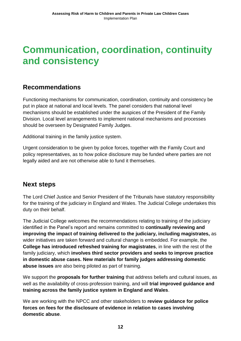### <span id="page-12-0"></span>**Communication, coordination, continuity and consistency**

### **Recommendations**

Functioning mechanisms for communication, coordination, continuity and consistency be put in place at national and local levels. The panel considers that national level mechanisms should be established under the auspices of the President of the Family Division. Local level arrangements to implement national mechanisms and processes should be overseen by Designated Family Judges.

Additional training in the family justice system.

Urgent consideration to be given by police forces, together with the Family Court and policy representatives, as to how police disclosure may be funded where parties are not legally aided and are not otherwise able to fund it themselves.

### **Next steps**

The Lord Chief Justice and Senior President of the Tribunals have statutory responsibility for the training of the judiciary in England and Wales. The Judicial College undertakes this duty on their behalf.

The Judicial College welcomes the recommendations relating to training of the judiciary identified in the Panel's report and remains committed to **continually reviewing and improving the impact of training delivered to the judiciary, including magistrates,** as wider initiatives are taken forward and cultural change is embedded. For example, the **College has introduced refreshed training for magistrates**, in line with the rest of the family judiciary, which **involves third sector providers and seeks to improve practice in domestic abuse cases. New materials for family judges addressing domestic abuse issues** are also being piloted as part of training.

We support the **proposals for further training** that address beliefs and cultural issues, as well as the availability of cross-profession training, and will **trial improved guidance and training across the family justice system in England and Wales**.

We are working with the NPCC and other stakeholders to **review guidance for police forces on fees for the disclosure of evidence in relation to cases involving domestic abuse**.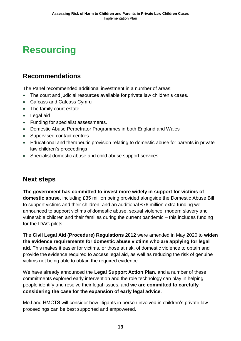### <span id="page-13-0"></span>**Resourcing**

### **Recommendations**

The Panel recommended additional investment in a number of areas:

- The court and judicial resources available for private law children's cases.
- Cafcass and Cafcass Cymru
- The family court estate
- Legal aid
- Funding for specialist assessments.
- Domestic Abuse Perpetrator Programmes in both England and Wales
- Supervised contact centres
- Educational and therapeutic provision relating to domestic abuse for parents in private law children's proceedings
- Specialist domestic abuse and child abuse support services.

### **Next steps**

**The government has committed to invest more widely in support for victims of domestic abuse**, including £35 million being provided alongside the Domestic Abuse Bill to support victims and their children, and an additional £76 million extra funding we announced to support victims of domestic abuse, sexual violence, modern slavery and vulnerable children and their families during the current pandemic – this includes funding for the IDAC pilots.

The **Civil Legal Aid (Procedure) Regulations 2012** were amended in May 2020 to **widen the evidence requirements for domestic abuse victims who are applying for legal aid**. This makes it easier for victims, or those at risk, of domestic violence to obtain and provide the evidence required to access legal aid, as well as reducing the risk of genuine victims not being able to obtain the required evidence.

We have already announced the **Legal Support Action Plan**, and a number of these commitments explored early intervention and the role technology can play in helping people identify and resolve their legal issues, and **we are committed to carefully considering the case for the expansion of early legal advice**.

MoJ and HMCTS will consider how litigants in person involved in children's private law proceedings can be best supported and empowered.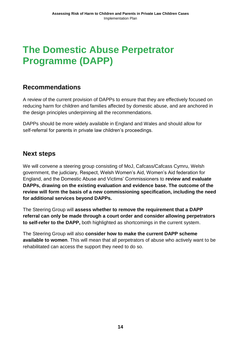### <span id="page-14-0"></span>**The Domestic Abuse Perpetrator Programme (DAPP)**

### **Recommendations**

A review of the current provision of DAPPs to ensure that they are effectively focused on reducing harm for children and families affected by domestic abuse, and are anchored in the design principles underpinning all the recommendations.

DAPPs should be more widely available in England and Wales and should allow for self-referral for parents in private law children's proceedings.

#### **Next steps**

We will convene a steering group consisting of MoJ, Cafcass/Cafcass Cymru, Welsh government, the judiciary, Respect, Welsh Women's Aid, Women's Aid federation for England, and the Domestic Abuse and Victims' Commissioners to **review and evaluate DAPPs, drawing on the existing evaluation and evidence base. The outcome of the review will form the basis of a new commissioning specification, including the need for additional services beyond DAPPs.**

The Steering Group will **assess whether to remove the requirement that a DAPP referral can only be made through a court order and consider allowing perpetrators to self-refer to the DAPP,** both highlighted as shortcomings in the current system.

The Steering Group will also **consider how to make the current DAPP scheme available to women**. This will mean that all perpetrators of abuse who actively want to be rehabilitated can access the support they need to do so.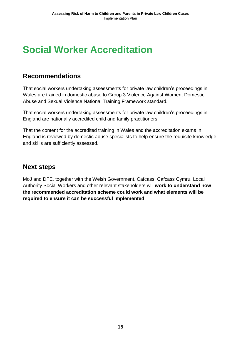### <span id="page-15-0"></span>**Social Worker Accreditation**

#### **Recommendations**

That social workers undertaking assessments for private law children's proceedings in Wales are trained in domestic abuse to Group 3 Violence Against Women, Domestic Abuse and Sexual Violence National Training Framework standard.

That social workers undertaking assessments for private law children's proceedings in England are nationally accredited child and family practitioners.

That the content for the accredited training in Wales and the accreditation exams in England is reviewed by domestic abuse specialists to help ensure the requisite knowledge and skills are sufficiently assessed.

#### **Next steps**

MoJ and DFE, together with the Welsh Government, Cafcass, Cafcass Cymru, Local Authority Social Workers and other relevant stakeholders will **work to understand how the recommended accreditation scheme could work and what elements will be required to ensure it can be successful implemented**.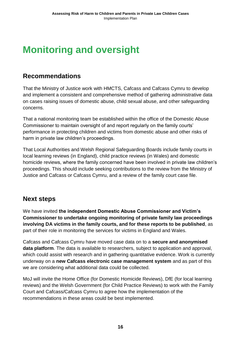## <span id="page-16-0"></span>**Monitoring and oversight**

### **Recommendations**

That the Ministry of Justice work with HMCTS, Cafcass and Cafcass Cymru to develop and implement a consistent and comprehensive method of gathering administrative data on cases raising issues of domestic abuse, child sexual abuse, and other safeguarding concerns.

That a national monitoring team be established within the office of the Domestic Abuse Commissioner to maintain oversight of and report regularly on the family courts' performance in protecting children and victims from domestic abuse and other risks of harm in private law children's proceedings.

That Local Authorities and Welsh Regional Safeguarding Boards include family courts in local learning reviews (in England), child practice reviews (in Wales) and domestic homicide reviews, where the family concerned have been involved in private law children's proceedings. This should include seeking contributions to the review from the Ministry of Justice and Cafcass or Cafcass Cymru, and a review of the family court case file.

### **Next steps**

We have invited **the independent Domestic Abuse Commissioner and Victim's Commissioner to undertake ongoing monitoring of private family law proceedings involving DA victims in the family courts, and for these reports to be published**, as part of their role in monitoring the services for victims in England and Wales.

Cafcass and Cafcass Cymru have moved case data on to a **secure and anonymised data platform**. The data is available to researchers, subject to application and approval, which could assist with research and in gathering quantitative evidence. Work is currently underway on a **new Cafcass electronic case management system** and as part of this we are considering what additional data could be collected.

MoJ will invite the Home Office (for Domestic Homicide Reviews), DfE (for local learning reviews) and the Welsh Government (for Child Practice Reviews) to work with the Family Court and Cafcass/Cafcass Cymru to agree how the implementation of the recommendations in these areas could be best implemented.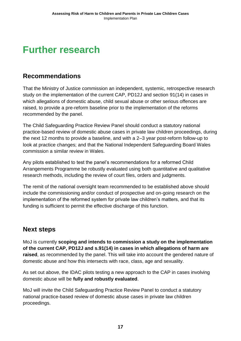### <span id="page-17-0"></span>**Further research**

### **Recommendations**

That the Ministry of Justice commission an independent, systemic, retrospective research study on the implementation of the current CAP, PD12J and section 91(14) in cases in which allegations of domestic abuse, child sexual abuse or other serious offences are raised, to provide a pre-reform baseline prior to the implementation of the reforms recommended by the panel.

The Child Safeguarding Practice Review Panel should conduct a statutory national practice-based review of domestic abuse cases in private law children proceedings, during the next 12 months to provide a baseline, and with a 2–3 year post-reform follow-up to look at practice changes; and that the National Independent Safeguarding Board Wales commission a similar review in Wales.

Any pilots established to test the panel's recommendations for a reformed Child Arrangements Programme be robustly evaluated using both quantitative and qualitative research methods, including the review of court files, orders and judgments.

The remit of the national oversight team recommended to be established above should include the commissioning and/or conduct of prospective and on-going research on the implementation of the reformed system for private law children's matters, and that its funding is sufficient to permit the effective discharge of this function.

### **Next steps**

MoJ is currently **scoping and intends to commission a study on the implementation of the current CAP, PD12J and s.91(14) in cases in which allegations of harm are raised**, as recommended by the panel. This will take into account the gendered nature of domestic abuse and how this intersects with race, class, age and sexuality.

As set out above, the IDAC pilots testing a new approach to the CAP in cases involving domestic abuse will be **fully and robustly evaluated**.

MoJ will invite the Child Safeguarding Practice Review Panel to conduct a statutory national practice-based review of domestic abuse cases in private law children proceedings.